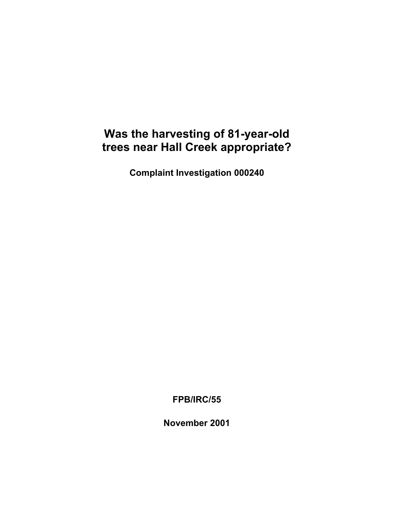## **Was the harvesting of 81-year-old trees near Hall Creek appropriate?**

**Complaint Investigation 000240** 

**FPB/IRC/55** 

**November 2001**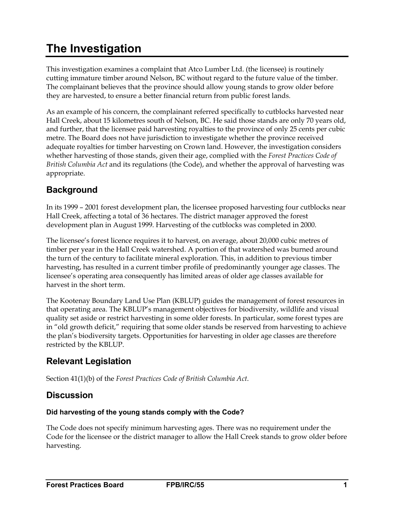# <span id="page-2-0"></span>**The Investigation**

This investigation examines a complaint that Atco Lumber Ltd. (the licensee) is routinely cutting immature timber around Nelson, BC without regard to the future value of the timber. The complainant believes that the province should allow young stands to grow older before they are harvested, to ensure a better financial return from public forest lands.

As an example of his concern, the complainant referred specifically to cutblocks harvested near Hall Creek, about 15 kilometres south of Nelson, BC. He said those stands are only 70 years old, and further, that the licensee paid harvesting royalties to the province of only 25 cents per cubic metre. The Board does not have jurisdiction to investigate whether the province received adequate royalties for timber harvesting on Crown land. However, the investigation considers whether harvesting of those stands, given their age, complied with the *Forest Practices Code of British Columbia Act* and its regulations (the Code), and whether the approval of harvesting was appropriate.

## **Background**

In its 1999 – 2001 forest development plan, the licensee proposed harvesting four cutblocks near Hall Creek, affecting a total of 36 hectares. The district manager approved the forest development plan in August 1999. Harvesting of the cutblocks was completed in 2000.

The licensee's forest licence requires it to harvest, on average, about 20,000 cubic metres of timber per year in the Hall Creek watershed. A portion of that watershed was burned around the turn of the century to facilitate mineral exploration. This, in addition to previous timber harvesting, has resulted in a current timber profile of predominantly younger age classes. The licensee's operating area consequently has limited areas of older age classes available for harvest in the short term.

The Kootenay Boundary Land Use Plan (KBLUP) guides the management of forest resources in that operating area. The KBLUP's management objectives for biodiversity, wildlife and visual quality set aside or restrict harvesting in some older forests. In particular, some forest types are in "old growth deficit," requiring that some older stands be reserved from harvesting to achieve the plan's biodiversity targets. Opportunities for harvesting in older age classes are therefore restricted by the KBLUP.

#### **Relevant Legislation**

Section 41(1)(b) of the *Forest Practices Code of British Columbia Act*.

#### **Discussion**

#### **Did harvesting of the young stands comply with the Code?**

The Code does not specify minimum harvesting ages. There was no requirement under the Code for the licensee or the district manager to allow the Hall Creek stands to grow older before harvesting.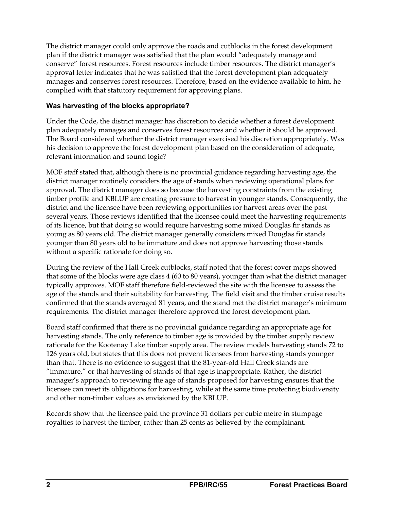<span id="page-3-0"></span>The district manager could only approve the roads and cutblocks in the forest development plan if the district manager was satisfied that the plan would "adequately manage and conserve" forest resources. Forest resources include timber resources. The district manager's approval letter indicates that he was satisfied that the forest development plan adequately manages and conserves forest resources. Therefore, based on the evidence available to him, he complied with that statutory requirement for approving plans.

#### **Was harvesting of the blocks appropriate?**

Under the Code, the district manager has discretion to decide whether a forest development plan adequately manages and conserves forest resources and whether it should be approved. The Board considered whether the district manager exercised his discretion appropriately. Was his decision to approve the forest development plan based on the consideration of adequate, relevant information and sound logic?

MOF staff stated that, although there is no provincial guidance regarding harvesting age, the district manager routinely considers the age of stands when reviewing operational plans for approval. The district manager does so because the harvesting constraints from the existing timber profile and KBLUP are creating pressure to harvest in younger stands. Consequently, the district and the licensee have been reviewing opportunities for harvest areas over the past several years. Those reviews identified that the licensee could meet the harvesting requirements of its licence, but that doing so would require harvesting some mixed Douglas fir stands as young as 80 years old. The district manager generally considers mixed Douglas fir stands younger than 80 years old to be immature and does not approve harvesting those stands without a specific rationale for doing so.

During the review of the Hall Creek cutblocks, staff noted that the forest cover maps showed that some of the blocks were age class 4 (60 to 80 years), younger than what the district manager typically approves. MOF staff therefore field-reviewed the site with the licensee to assess the age of the stands and their suitability for harvesting. The field visit and the timber cruise results confirmed that the stands averaged 81 years, and the stand met the district manager's minimum requirements. The district manager therefore approved the forest development plan.

Board staff confirmed that there is no provincial guidance regarding an appropriate age for harvesting stands. The only reference to timber age is provided by the timber supply review rationale for the Kootenay Lake timber supply area. The review models harvesting stands 72 to 126 years old, but states that this does not prevent licensees from harvesting stands younger than that. There is no evidence to suggest that the 81-year-old Hall Creek stands are "immature," or that harvesting of stands of that age is inappropriate. Rather, the district manager's approach to reviewing the age of stands proposed for harvesting ensures that the licensee can meet its obligations for harvesting, while at the same time protecting biodiversity and other non-timber values as envisioned by the KBLUP.

Records show that the licensee paid the province 31 dollars per cubic metre in stumpage royalties to harvest the timber, rather than 25 cents as believed by the complainant.